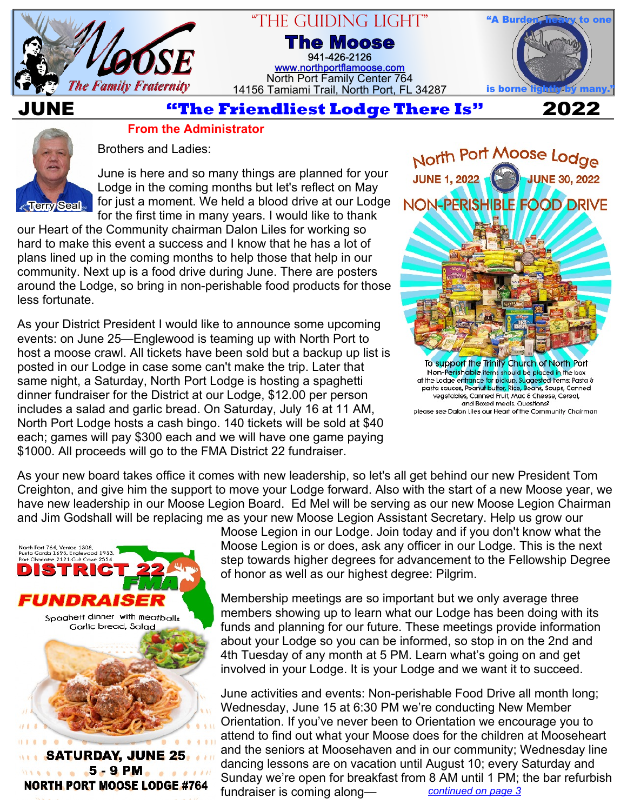

# "The Guiding Light"

**The Moose** 941-426-2126 [www.northportflamoose.com](https://www.northportflamoose.com) North Port Family Center 764 14156 Tamiami Trail, North Port, FL 34287



**JUNE 2022**

## **From the Administrator**



Brothers and Ladies:

June is here and so many things are planned for your Lodge in the coming months but let's reflect on May for just a moment. We held a blood drive at our Lodge for the first time in many years. I would like to thank

our Heart of the Community chairman Dalon Liles for working so hard to make this event a success and I know that he has a lot of plans lined up in the coming months to help those that help in our community. Next up is a food drive during June. There are posters around the Lodge, so bring in non-perishable food products for those less fortunate.

As your District President I would like to announce some upcoming events: on June 25—Englewood is teaming up with North Port to host a moose crawl. All tickets have been sold but a backup up list is posted in our Lodge in case some can't make the trip. Later that same night, a Saturday, North Port Lodge is hosting a spaghetti dinner fundraiser for the District at our Lodge, \$12.00 per person includes a salad and garlic bread. On Saturday, July 16 at 11 AM, North Port Lodge hosts a cash bingo. 140 tickets will be sold at \$40 each; games will pay \$300 each and we will have one game paying \$1000. All proceeds will go to the FMA District 22 fundraiser.



Non-Perishable items should be placed in the box<br>of the Lodge entrance for pickup. Suggested Items: Pasta &<br>pasta sauces, Peanut butter, Rice, Beans, Soups, Canned vegetables, Canned Fruit, Mac & Cheese, Cereal, and Boxed meals. Questions? please see Dalon Liles our Heart of the Community Chairman

As your new board takes office it comes with new leadership, so let's all get behind our new President Tom Creighton, and give him the support to move your Lodge forward. Also with the start of a new Moose year, we have new leadership in our Moose Legion Board. Ed Mel will be serving as our new Moose Legion Chairman and Jim Godshall will be replacing me as your new Moose Legion Assistant Secretary. Help us grow our



Moose Legion in our Lodge. Join today and if you don't know what the Moose Legion is or does, ask any officer in our Lodge. This is the next step towards higher degrees for advancement to the Fellowship Degree of honor as well as our highest degree: Pilgrim.

Membership meetings are so important but we only average three members showing up to learn what our Lodge has been doing with its funds and planning for our future. These meetings provide information about your Lodge so you can be informed, so stop in on the 2nd and 4th Tuesday of any month at 5 PM. Learn what's going on and get involved in your Lodge. It is your Lodge and we want it to succeed.

June activities and events: Non-perishable Food Drive all month long; Wednesday, June 15 at 6:30 PM we're conducting New Member Orientation. If you've never been to Orientation we encourage you to attend to find out what your Moose does for the children at Mooseheart and the seniors at Moosehaven and in our community; Wednesday line dancing lessons are on vacation until August 10; every Saturday and Sunday we're open for breakfast from 8 AM until 1 PM; the bar refurbish fundraiser is coming along— *[continued on page 3](#page-2-0)*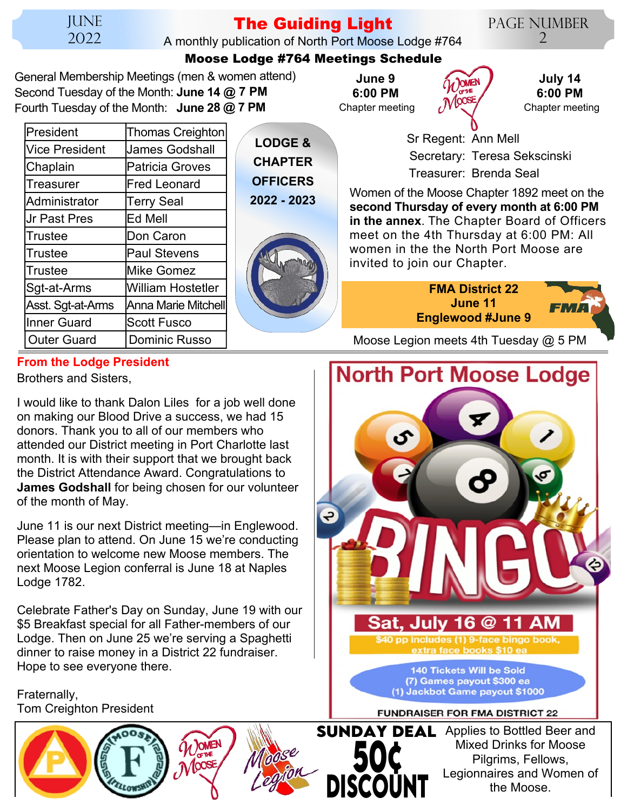**JUNE** 2022

# **The Guiding Light**

A monthly publication of North Port Moose Lodge #764

Page Number  $\mathcal{D}_{\cdot}$ 

### **Moose Lodge #764 Meetings Schedule**

General Membership Meetings (men & women attend) Second Tuesday of the Month: **June 14 @ 7 PM** Fourth Tuesday of the Month: **June 28 @ 7 PM**

| President             | <b>Thomas Creighton</b>  |
|-----------------------|--------------------------|
| <b>Vice President</b> | <b>James Godshall</b>    |
| Chaplain              | <b>Patricia Groves</b>   |
| Treasurer             | <b>Fred Leonard</b>      |
| Administrator         | Terry Seal               |
| <b>Jr Past Pres</b>   | Ed Mell                  |
| Trustee               | Don Caron                |
| Trustee               | <b>Paul Stevens</b>      |
| Trustee               | <b>Mike Gomez</b>        |
| Sgt-at-Arms           | <b>William Hostetler</b> |
| Asst. Sgt-at-Arms     | Anna Marie Mitchell      |
| <b>Inner Guard</b>    | <b>Scott Fusco</b>       |
| <b>Outer Guard</b>    | Dominic Russo            |
|                       |                          |

**LODGE & CHAPTER OFFICERS 2022 - 2023**



Chapter meeting **June 9 6:00 PM**



**July 14 6:00 PM** Chapter meeting

 Sr Regent: Ann Mell Secretary: Teresa Sekscinski Treasurer: Brenda Seal

Women of the Moose Chapter 1892 meet on the **second Thursday of every month at 6:00 PM in the annex**. The Chapter Board of Officers meet on the 4th Thursday at 6:00 PM: All women in the the North Port Moose are invited to join our Chapter.



Moose Legion meets 4th Tuesday  $@$  5 PM

## **From the Lodge President**

Brothers and Sisters,

I would like to thank Dalon Liles for a job well done on making our Blood Drive a success, we had 15 donors. Thank you to all of our members who attended our District meeting in Port Charlotte last month. It is with their support that we brought back the District Attendance Award. Congratulations to **James Godshall** for being chosen for our volunteer of the month of May.

June 11 is our next District meeting—in Englewood. Please plan to attend. On June 15 we're conducting orientation to welcome new Moose members. The next Moose Legion conferral is June 18 at Naples Lodge 1782.

Celebrate Father's Day on Sunday, June 19 with our \$5 Breakfast special for all Father-members of our Lodge. Then on June 25 we're serving a Spaghetti dinner to raise money in a District 22 fundraiser. Hope to see everyone there.

Fraternally, Tom Creighton President



**50¢ DISCOUNT SUNDAY DEAL** Applies to Bottled Beer and Mixed Drinks for Moose Pilgrims, Fellows, Legionnaires and Women of the Moose.